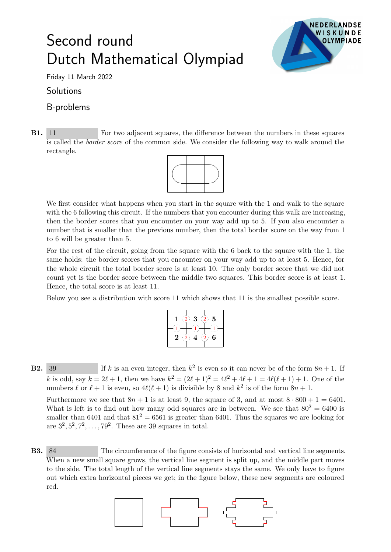## Second round Dutch Mathematical Olympiad



Friday 11 March 2022

**Solutions** 

## B-problems

B1. 11 For two adjacent squares, the difference between the numbers in these squares is called the border score of the common side. We consider the following way to walk around the rectangle.



We first consider what happens when you start in the square with the 1 and walk to the square with the 6 following this circuit. If the numbers that you encounter during this walk are increasing, then the border scores that you encounter on your way add up to 5. If you also encounter a number that is smaller than the previous number, then the total border score on the way from 1 to 6 will be greater than 5.

For the rest of the circuit, going from the square with the 6 back to the square with the 1, the same holds: the border scores that you encounter on your way add up to at least 5. Hence, for the whole circuit the total border score is at least 10. The only border score that we did not count yet is the border score between the middle two squares. This border score is at least 1. Hence, the total score is at least 11.

Below you see a distribution with score 11 which shows that 11 is the smallest possible score.

| 5<br>3<br>$\cdot$<br>ï                                 |
|--------------------------------------------------------|
|                                                        |
| 6<br>2<br>$\cdot$<br>$\mathbb{Z}/\mathbb{Z}$<br>÷<br>4 |
|                                                        |

**B2.** 39 If k is an even integer, then  $k^2$  is even so it can never be of the form  $8n + 1$ . If k is odd, say  $k = 2\ell + 1$ , then we have  $k^2 = (2\ell + 1)^2 = 4\ell^2 + 4\ell + 1 = 4\ell(\ell + 1) + 1$ . One of the numbers  $\ell$  or  $\ell + 1$  is even, so  $4\ell(\ell + 1)$  is divisible by 8 and  $k^2$  is of the form  $8n + 1$ .

Furthermore we see that  $8n + 1$  is at least 9, the square of 3, and at most  $8 \cdot 800 + 1 = 6401$ . What is left is to find out how many odd squares are in between. We see that  $80^2 = 6400$  is smaller than 6401 and that  $81^2 = 6561$  is greater than 6401. Thus the squares we are looking for are  $3^2, 5^2, 7^2, \ldots, 79^2$ . These are 39 squares in total.

B3. 84 The circumference of the figure consists of horizontal and vertical line segments. When a new small square grows, the vertical line segment is split up, and the middle part moves to the side. The total length of the vertical line segments stays the same. We only have to figure out which extra horizontal pieces we get; in the figure below, these new segments are coloured red.

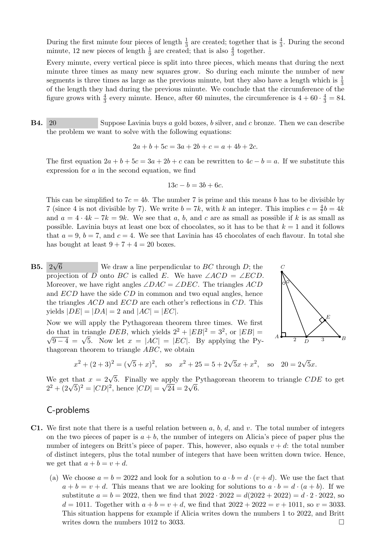During the first minute four pieces of length  $\frac{1}{3}$  are created; together that is  $\frac{4}{3}$ . During the second minute, 12 new pieces of length  $\frac{1}{9}$  are created; that is also  $\frac{4}{3}$  together.

Every minute, every vertical piece is split into three pieces, which means that during the next minute three times as many new squares grow. So during each minute the number of new segments is three times as large as the previous minute, but they also have a length which is  $\frac{1}{3}$ of the length they had during the previous minute. We conclude that the circumference of the figure grows with  $\frac{4}{3}$  every minute. Hence, after 60 minutes, the circumference is  $4 + 60 \cdot \frac{4}{3} = 84$ .

B4. 20 Suppose Lavinia buys a gold boxes, b silver, and c bronze. Then we can describe the problem we want to solve with the following equations:

$$
2a + b + 5c = 3a + 2b + c = a + 4b + 2c.
$$

The first equation  $2a + b + 5c = 3a + 2b + c$  can be rewritten to  $4c - b = a$ . If we substitute this expression for a in the second equation, we find

$$
13c - b = 3b + 6c.
$$

This can be simplified to  $7c = 4b$ . The number 7 is prime and this means b has to be divisible by 7 (since 4 is not divisible by 7). We write  $b = 7k$ , with k an integer. This implies  $c = \frac{4}{7}$  $\frac{4}{7}b = 4k$ and  $a = 4 \cdot 4k - 7k = 9k$ . We see that a, b, and c are as small as possible if k is as small as possible. Lavinia buys at least one box of chocolates, so it has to be that  $k = 1$  and it follows that  $a = 9$ ,  $b = 7$ , and  $c = 4$ . We see that Lavinia has 45 chocolates of each flavour. In total she has bought at least  $9 + 7 + 4 = 20$  boxes.

B5. 2 √ We draw a line perpendicular to  $BC$  through D; the projection of D onto BC is called E. We have  $\angle ACD = \angle ECD$ . Moreover, we have right angles  $\angle DAC = \angle DEC$ . The triangles ACD and  $ECD$  have the side  $CD$  in common and two equal angles, hence the triangles ACD and ECD are each other's reflections in CD. This yields  $|DE| = |DA| = 2$  and  $|AC| = |EC|$ .

Now we will apply the Pythagorean theorem three times. We first do that in triangle DEB, which yields  $2^2 + |EB|^2 = 3^2$ , or  $|EB| = \sqrt{2^2 + 1^2}$  $\overline{9-4} = \sqrt{5}$ . Now let  $x = |AC| = |EC|$ . By applying the Pythagorean theorem to triangle ABC, we obtain



$$
x^{2} + (2+3)^{2} = (\sqrt{5} + x)^{2}
$$
, so  $x^{2} + 25 = 5 + 2\sqrt{5}x + x^{2}$ , so  $20 = 2\sqrt{5}x$ .

We get that  $x = 2\sqrt{5}$ . Finally we apply the Pythagorean theorem to triangle CDE to get we get that  $x = 2\sqrt{3}$ . Finally we apply the P<br> $2^2 + (2\sqrt{5})^2 = |CD|^2$ , hence  $|CD| = \sqrt{24} = 2\sqrt{6}$ .

## C-problems

- **C1.** We first note that there is a useful relation between  $a, b, d$ , and  $v$ . The total number of integers on the two pieces of paper is  $a + b$ , the number of integers on Alicia's piece of paper plus the number of integers on Britt's piece of paper. This, however, also equals  $v + d$ : the total number of distinct integers, plus the total number of integers that have been written down twice. Hence, we get that  $a + b = v + d$ .
	- (a) We choose  $a = b = 2022$  and look for a solution to  $a \cdot b = d \cdot (v + d)$ . We use the fact that  $a + b = v + d$ . This means that we are looking for solutions to  $a \cdot b = d \cdot (a + b)$ . If we substitute  $a = b = 2022$ , then we find that  $2022 \cdot 2022 = d(2022 + 2022) = d \cdot 2 \cdot 2022$ , so  $d = 1011$ . Together with  $a + b = v + d$ , we find that  $2022 + 2022 = v + 1011$ , so  $v = 3033$ . This situation happens for example if Alicia writes down the numbers 1 to 2022, and Britt writes down the numbers 1012 to 3033.